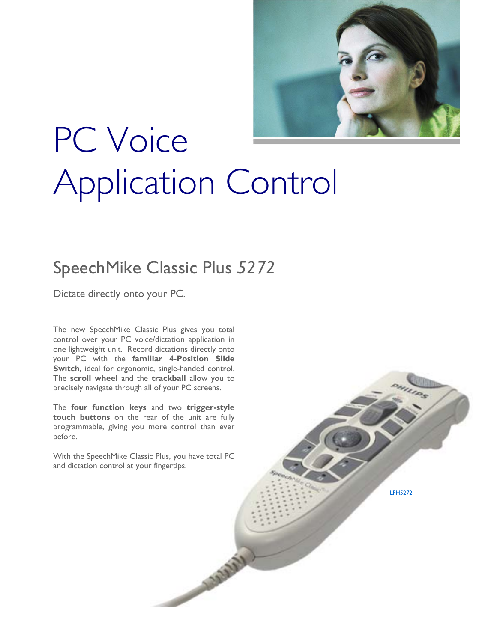

# PC Voice Application Control

## SpeechMike Classic Plus *5272*

Dictate directly onto your PC.

The new SpeechMike Classic Plus gives you total control over your PC voice/dictation application in one lightweight unit. Record dictations directly onto your PC with the **familiar 4-Position Slide Switch**, ideal for ergonomic, single-handed control. The **scroll wheel** and the **trackball** allow you to precisely navigate through all of your PC screens.

The **four function keys** and two **trigger-style touch buttons** on the rear of the unit are fully programmable, giving you more control than ever before.

With the SpeechMike Classic Plus, you have total PC and dictation control at your fingertips.

**CERTAINS** 

LFH5272